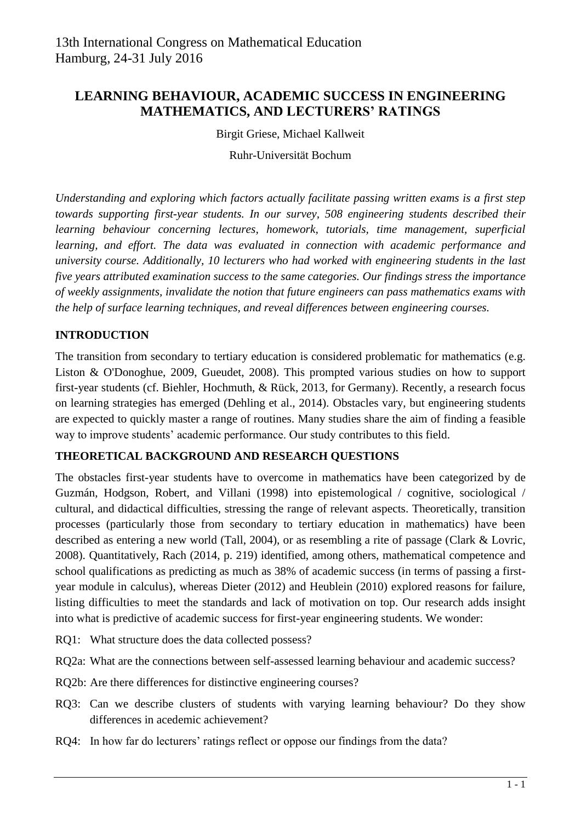# **LEARNING BEHAVIOUR, ACADEMIC SUCCESS IN ENGINEERING MATHEMATICS, AND LECTURERS' RATINGS**

Birgit Griese, Michael Kallweit

Ruhr-Universität Bochum

*Understanding and exploring which factors actually facilitate passing written exams is a first step towards supporting first-year students. In our survey, 508 engineering students described their learning behaviour concerning lectures, homework, tutorials, time management, superficial learning, and effort. The data was evaluated in connection with academic performance and university course. Additionally, 10 lecturers who had worked with engineering students in the last five years attributed examination success to the same categories. Our findings stress the importance of weekly assignments, invalidate the notion that future engineers can pass mathematics exams with the help of surface learning techniques, and reveal differences between engineering courses.*

## **INTRODUCTION**

The transition from secondary to tertiary education is considered problematic for mathematics (e.g. Liston & O'Donoghue, 2009, Gueudet, 2008). This prompted various studies on how to support first-year students (cf. Biehler, Hochmuth, & Rück, 2013, for Germany). Recently, a research focus on learning strategies has emerged (Dehling et al., 2014). Obstacles vary, but engineering students are expected to quickly master a range of routines. Many studies share the aim of finding a feasible way to improve students' academic performance. Our study contributes to this field.

#### **THEORETICAL BACKGROUND AND RESEARCH QUESTIONS**

The obstacles first-year students have to overcome in mathematics have been categorized by de Guzmán, Hodgson, Robert, and Villani (1998) into epistemological / cognitive, sociological / cultural, and didactical difficulties, stressing the range of relevant aspects. Theoretically, transition processes (particularly those from secondary to tertiary education in mathematics) have been described as entering a new world (Tall, 2004), or as resembling a rite of passage (Clark & Lovric, 2008). Quantitatively, Rach (2014, p. 219) identified, among others, mathematical competence and school qualifications as predicting as much as 38% of academic success (in terms of passing a firstyear module in calculus), whereas Dieter (2012) and Heublein (2010) explored reasons for failure, listing difficulties to meet the standards and lack of motivation on top. Our research adds insight into what is predictive of academic success for first-year engineering students. We wonder:

- RQ1: What structure does the data collected possess?
- RQ2a: What are the connections between self-assessed learning behaviour and academic success?
- RQ2b: Are there differences for distinctive engineering courses?
- RQ3: Can we describe clusters of students with varying learning behaviour? Do they show differences in acedemic achievement?
- RQ4: In how far do lecturers' ratings reflect or oppose our findings from the data?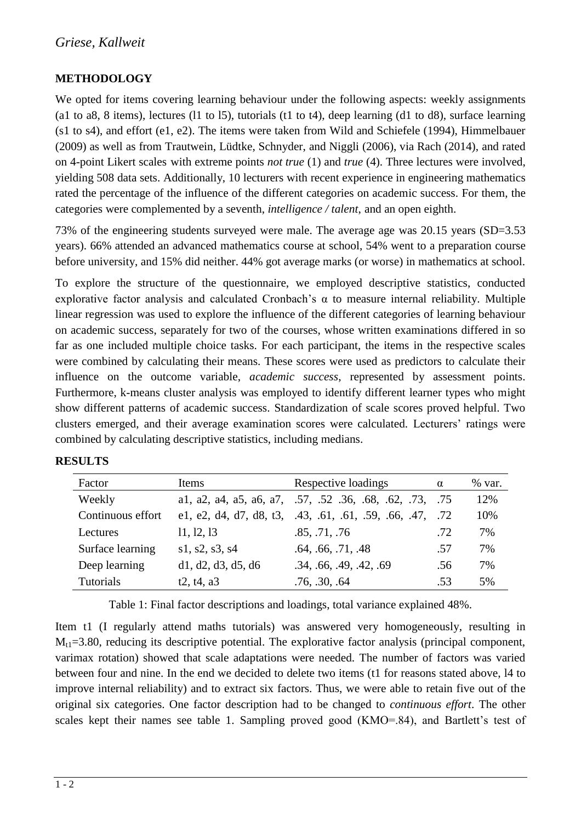## **METHODOLOGY**

We opted for items covering learning behaviour under the following aspects: weekly assignments (a1 to a8, 8 items), lectures (11 to 15), tutorials (t1 to t4), deep learning (d1 to d8), surface learning (s1 to s4), and effort (e1, e2). The items were taken from Wild and Schiefele (1994), Himmelbauer (2009) as well as from Trautwein, Lüdtke, Schnyder, and Niggli (2006), via Rach (2014), and rated on 4-point Likert scales with extreme points *not true* (1) and *true* (4). Three lectures were involved, yielding 508 data sets. Additionally, 10 lecturers with recent experience in engineering mathematics rated the percentage of the influence of the different categories on academic success. For them, the categories were complemented by a seventh, *intelligence / talent*, and an open eighth.

73% of the engineering students surveyed were male. The average age was 20.15 years (SD=3.53 years). 66% attended an advanced mathematics course at school, 54% went to a preparation course before university, and 15% did neither. 44% got average marks (or worse) in mathematics at school.

To explore the structure of the questionnaire, we employed descriptive statistics, conducted explorative factor analysis and calculated Cronbach's  $\alpha$  to measure internal reliability. Multiple linear regression was used to explore the influence of the different categories of learning behaviour on academic success, separately for two of the courses, whose written examinations differed in so far as one included multiple choice tasks. For each participant, the items in the respective scales were combined by calculating their means. These scores were used as predictors to calculate their influence on the outcome variable, *academic success*, represented by assessment points. Furthermore, k-means cluster analysis was employed to identify different learner types who might show different patterns of academic success. Standardization of scale scores proved helpful. Two clusters emerged, and their average examination scores were calculated. Lecturers' ratings were combined by calculating descriptive statistics, including medians.

| Factor            | Items              | Respective loadings                                       | $\alpha$ | % var. |
|-------------------|--------------------|-----------------------------------------------------------|----------|--------|
| Weekly            |                    | al, a2, a4, a5, a6, a7, .57, .52, .36, .68, .62, .73, .75 |          | 12%    |
| Continuous effort |                    | e1, e2, d4, d7, d8, t3, $.43, .61, .61, .59, .66, .47,$   | .72      | 10%    |
| Lectures          | 11, 12, 13         | .85, .71, .76                                             | .72      | 7%     |
| Surface learning  | s1, s2, s3, s4     | .64, .66, .71, .48                                        | .57      | 7%     |
| Deep learning     | d1, d2, d3, d5, d6 | .34, .66, .49, .42, .69                                   | .56      | 7%     |
| <b>Tutorials</b>  | t2, t4, a3         | .76, .30, .64                                             | .53      | 5%     |

Table 1: Final factor descriptions and loadings, total variance explained 48%.

Item t1 (I regularly attend maths tutorials) was answered very homogeneously, resulting in  $M_{t1}$ =3.80, reducing its descriptive potential. The explorative factor analysis (principal component, varimax rotation) showed that scale adaptations were needed. The number of factors was varied between four and nine. In the end we decided to delete two items (t1 for reasons stated above, l4 to improve internal reliability) and to extract six factors. Thus, we were able to retain five out of the original six categories. One factor description had to be changed to *continuous effort*. The other scales kept their names see table 1. Sampling proved good (KMO=.84), and Bartlett's test of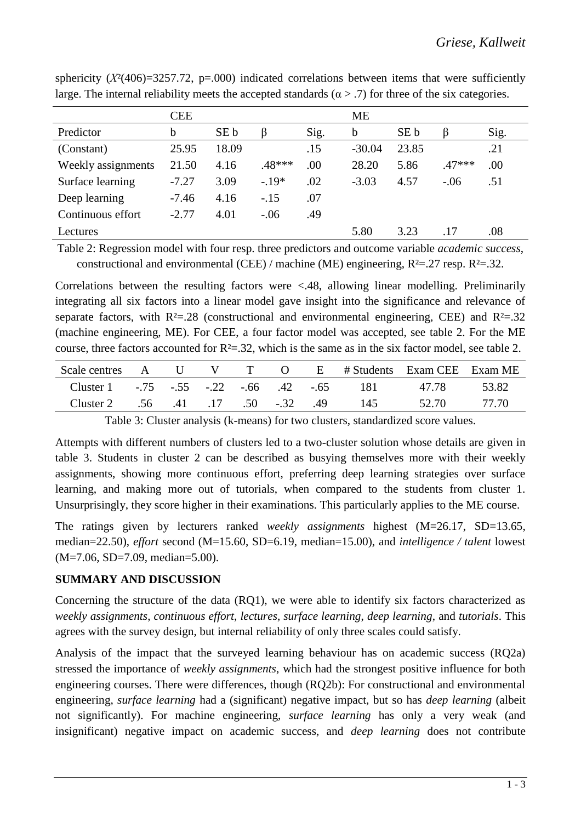|                    | <b>CEE</b> |       |         |      | <b>ME</b> |       |          |      |
|--------------------|------------|-------|---------|------|-----------|-------|----------|------|
| Predictor          | b          | SE b  |         | Sig. | b         | SE b  |          | Sig. |
| (Constant)         | 25.95      | 18.09 |         | .15  | $-30.04$  | 23.85 |          | .21  |
| Weekly assignments | 21.50      | 4.16  | .48***  | .00  | 28.20     | 5.86  | $.47***$ | .00. |
| Surface learning   | $-7.27$    | 3.09  | $-.19*$ | .02  | $-3.03$   | 4.57  | $-.06$   | .51  |
| Deep learning      | $-7.46$    | 4.16  | $-.15$  | .07  |           |       |          |      |
| Continuous effort  | $-2.77$    | 4.01  | $-.06$  | .49  |           |       |          |      |
| Lectures           |            |       |         |      | 5.80      | 3.23  | .17      | .08  |

sphericity  $(X^2(406)=3257.72$ , p=.000) indicated correlations between items that were sufficiently large. The internal reliability meets the accepted standards ( $\alpha$  > .7) for three of the six categories.

Table 2: Regression model with four resp. three predictors and outcome variable *academic success*, constructional and environmental (CEE) / machine (ME) engineering,  $R^2 = .27$  resp.  $R^2 = .32$ .

Correlations between the resulting factors were <.48, allowing linear modelling. Preliminarily integrating all six factors into a linear model gave insight into the significance and relevance of separate factors, with  $R<sup>2</sup>=.28$  (constructional and environmental engineering, CEE) and  $R<sup>2</sup>=.32$ (machine engineering, ME). For CEE, a four factor model was accepted, see table 2. For the ME course, three factors accounted for  $R<sup>2</sup>=0.32$ , which is the same as in the six factor model, see table 2.

| Scale centres A U V T O E #Students Exam CEE Exam ME |                          |  |  |     |       |       |
|------------------------------------------------------|--------------------------|--|--|-----|-------|-------|
| Cluster 1 -.75 -.55 -.22 -.66 .42 -.65 181           |                          |  |  |     | 47.78 | 53.82 |
| Cluster 2                                            | .56 .41 .17 .50 -.32 .49 |  |  | 145 | 52.70 | 77.70 |

Table 3: Cluster analysis (k-means) for two clusters, standardized score values.

Attempts with different numbers of clusters led to a two-cluster solution whose details are given in table 3. Students in cluster 2 can be described as busying themselves more with their weekly assignments, showing more continuous effort, preferring deep learning strategies over surface learning, and making more out of tutorials, when compared to the students from cluster 1. Unsurprisingly, they score higher in their examinations. This particularly applies to the ME course.

The ratings given by lecturers ranked *weekly assignments* highest (M=26.17, SD=13.65, median=22.50), *effort* second (M=15.60, SD=6.19, median=15.00), and *intelligence / talent* lowest (M=7.06, SD=7.09, median=5.00).

#### **SUMMARY AND DISCUSSION**

Concerning the structure of the data (RQ1), we were able to identify six factors characterized as *weekly assignments*, *continuous effort*, *lectures*, *surface learning*, *deep learning*, and *tutorials*. This agrees with the survey design, but internal reliability of only three scales could satisfy.

Analysis of the impact that the surveyed learning behaviour has on academic success (RQ2a) stressed the importance of *weekly assignments*, which had the strongest positive influence for both engineering courses. There were differences, though (RQ2b): For constructional and environmental engineering, *surface learning* had a (significant) negative impact, but so has *deep learning* (albeit not significantly). For machine engineering, *surface learning* has only a very weak (and insignificant) negative impact on academic success, and *deep learning* does not contribute